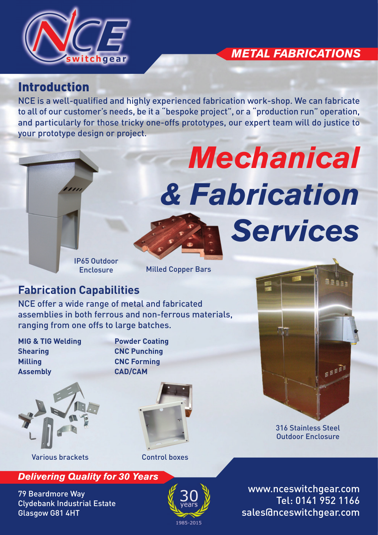

## *METAL FABRICATIONS*

*Mechanical*

*Services*

*& Fabrication* 

#### Introduction

NCE is a well-qualified and highly experienced fabrication work-shop. We can fabricate to all of our customer's needs, be it a "bespoke project", or a "production run" operation, and particularly for those tricky one-offs prototypes, our expert team will do justice to your prototype design or project.

> IP65 Outdoor **Enclosure**

Milled Copper Bars

### **Fabrication Capabilities**

NCE offer a wide range of metal and fabricated assemblies in both ferrous and non-ferrous materials, ranging from one offs to large batches.

**MIG & TIG Welding Powder Coating Shearing CNC Punching Milling CNC Forming Assembly CAD/CAM**



Various brackets Control boxes





EEEE

316 Stainless Steel Outdoor Enclosure

*Delivering Quality for 30 Years*

79 Beardmore Way Clydebank Industrial Estate Glasgow G81 4HT



www.nceswitchgear.com Tel: 0141 952 1166 sales@nceswitchgear.com